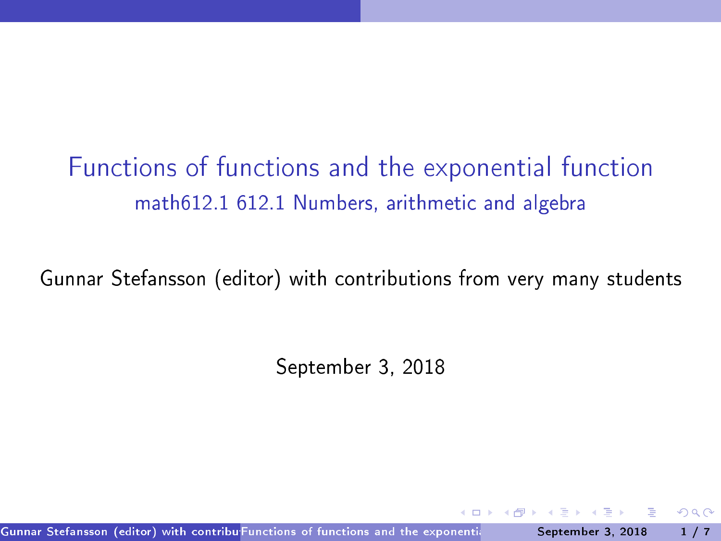# Functions of functions and the exponential function math612.1 612.1 Numbers, arithmetic and algebra

Gunnar Stefansson (editor) with contributions from very many students

September 3, 2018

<span id="page-0-0"></span> $QQQ$ 

Gunnar Stefansson (editor) with contribu Functions of functions and the exponentian the September 3, 2018 the  $1/7$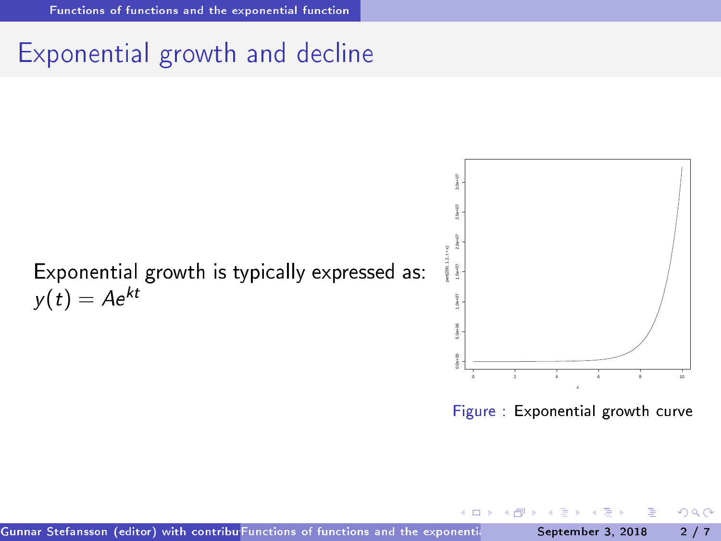# Exponential growth and decline



Figure : Exponential growth curve

<span id="page-1-0"></span> $QQ$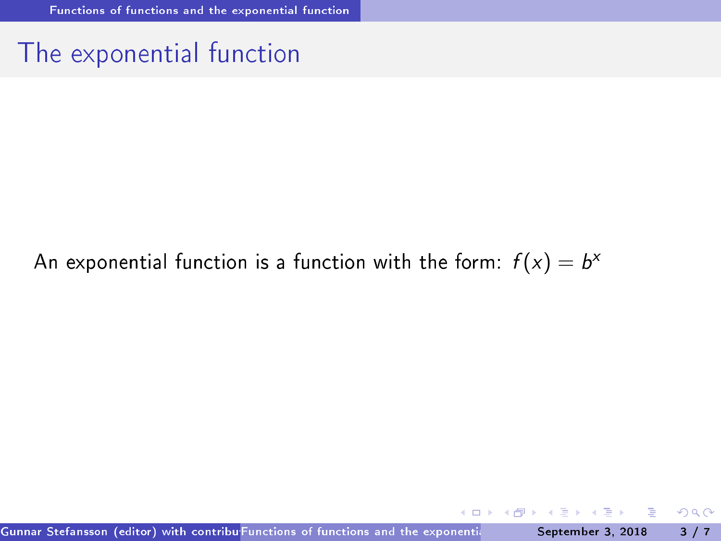### The exponential function

#### An exponential function is a function with the form:  $f(x) = b^x$

**◆ ロ ▶ → 何 ▶** 

 $\mathbf{p}$ Þ 重

<span id="page-2-0"></span> $298$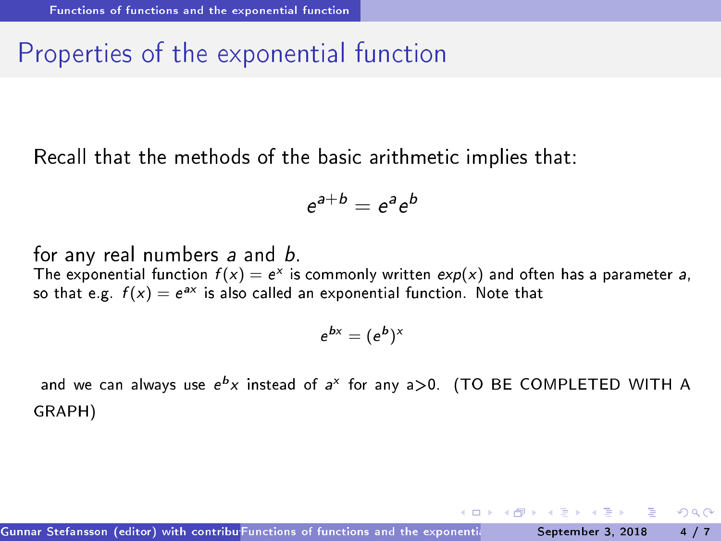# Properties of the exponential function

Recall that the methods of the basic arithmetic implies that:

$$
e^{a+b}=e^a e^b
$$

for any real numbers <sup>a</sup> and b. The exponential function  $f(x) = e^x$  is commonly written  $exp(x)$  and often has a parameter a, so that e.g.  $f(x) = e^{ax}$  is also called an exponential function. Note that

$$
e^{bx} = (e^b)^x
$$

and we can always use e x instead of a lion any a>0. (TO BE COMPLETED WITH A GRAPH)

<span id="page-3-0"></span> $QQ$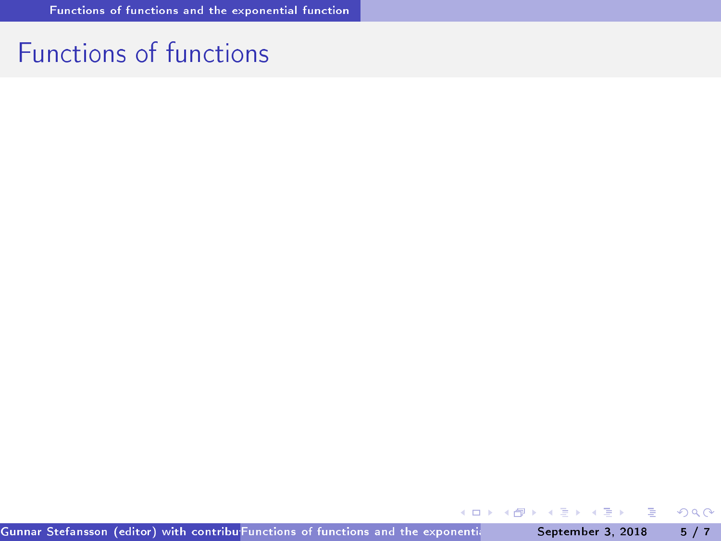### Fun
tions of fun
tions

<span id="page-4-0"></span> $298$ 

イロト イ部 トイモト イモト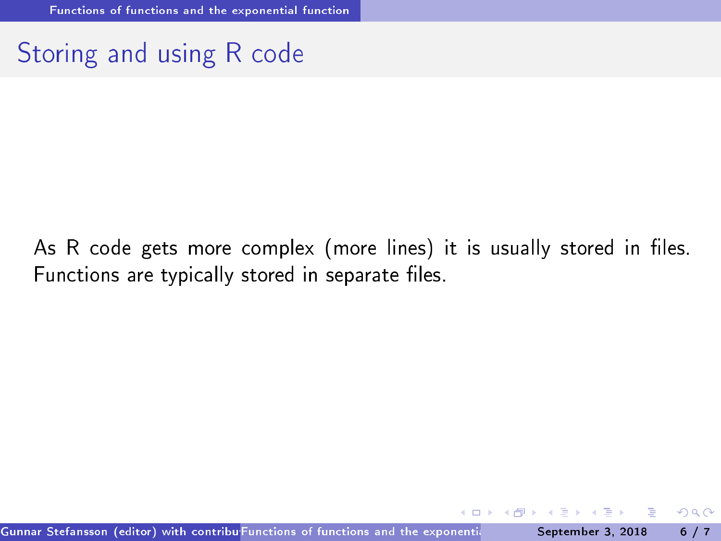# Storing and using R code

As R code gets more complex (more lines) it is usually stored in files. Functions are typically stored in separate files.

<span id="page-5-0"></span> $QQ$